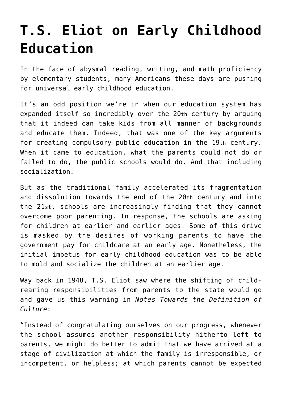## **[T.S. Eliot on Early Childhood](https://intellectualtakeout.org/2016/02/t-s-eliot-on-early-childhood-education/) [Education](https://intellectualtakeout.org/2016/02/t-s-eliot-on-early-childhood-education/)**

In the face of abysmal reading, writing, and math proficiency by elementary students, many Americans these days are pushing for universal early childhood education.

It's an odd position we're in when our education system has expanded itself so incredibly over the 20th century by arguing that it indeed can take kids from all manner of backgrounds and educate them. Indeed, that was one of the key arguments for creating compulsory public education in the 19th century. When it came to education, what the parents could not do or failed to do, the public schools would do. And that including socialization.

But as the traditional family accelerated its fragmentation and dissolution towards the end of the 20th century and into the 21st, schools are increasingly finding that they cannot overcome poor parenting. In response, the schools are asking for children at earlier and earlier ages. Some of this drive is masked by the desires of working parents to have the government pay for childcare at an early age. Nonetheless, the initial impetus for early childhood education was to be able to mold and socialize the children at an earlier age.

Way back in 1948, T.S. Eliot saw where the shifting of childrearing responsibilities from parents to the state would go and gave us this warning in *Notes Towards the Definition of Culture*:

"Instead of congratulating ourselves on our progress, whenever the school assumes another responsibility hitherto left to parents, we might do better to admit that we have arrived at a stage of civilization at which the family is irresponsible, or incompetent, or helpless; at which parents cannot be expected